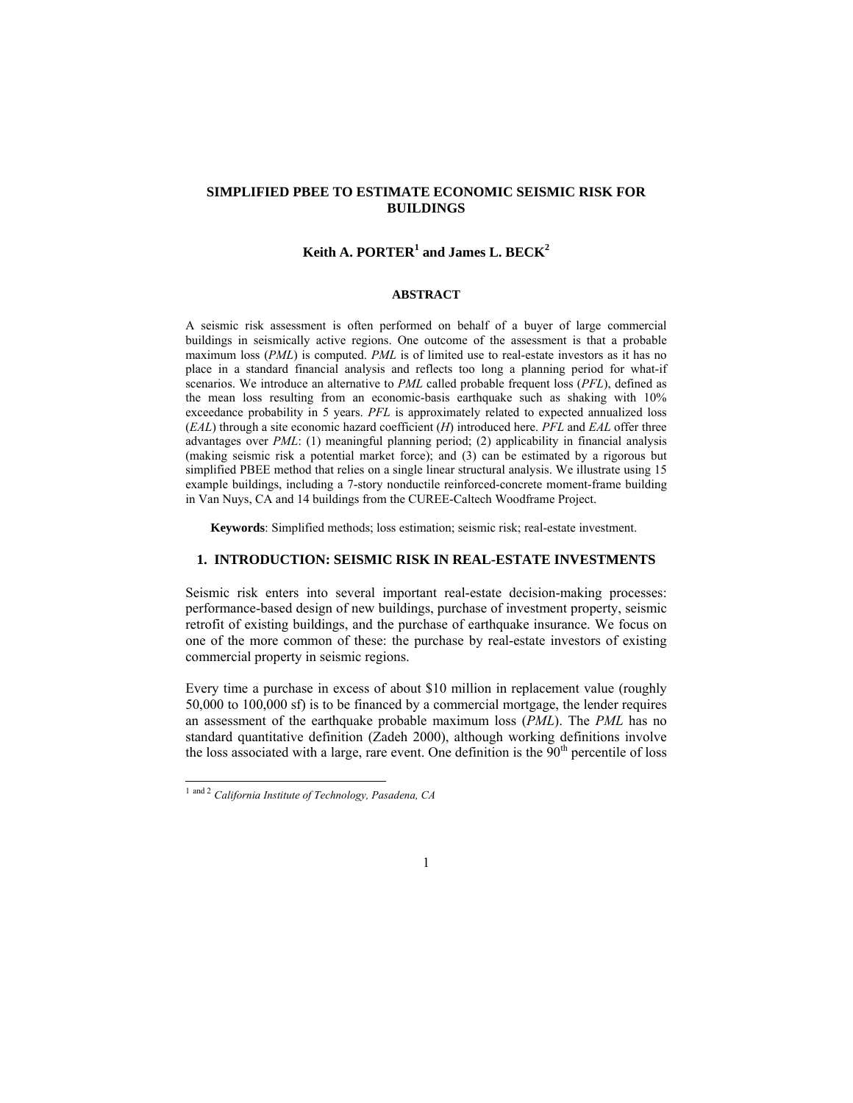# **SIMPLIFIED PBEE TO ESTIMATE ECONOMIC SEISMIC RISK FOR BUILDINGS**

# $K$ eith A. PORTER<sup>1</sup> and James L. BECK<sup>2</sup>

#### **ABSTRACT**

A seismic risk assessment is often performed on behalf of a buyer of large commercial buildings in seismically active regions. One outcome of the assessment is that a probable maximum loss (*PML*) is computed. *PML* is of limited use to real-estate investors as it has no place in a standard financial analysis and reflects too long a planning period for what-if scenarios. We introduce an alternative to *PML* called probable frequent loss (*PFL*), defined as the mean loss resulting from an economic-basis earthquake such as shaking with 10% exceedance probability in 5 years. *PFL* is approximately related to expected annualized loss (*EAL*) through a site economic hazard coefficient (*H*) introduced here. *PFL* and *EAL* offer three advantages over *PML*: (1) meaningful planning period; (2) applicability in financial analysis (making seismic risk a potential market force); and (3) can be estimated by a rigorous but simplified PBEE method that relies on a single linear structural analysis. We illustrate using 15 example buildings, including a 7-story nonductile reinforced-concrete moment-frame building in Van Nuys, CA and 14 buildings from the CUREE-Caltech Woodframe Project.

**Keywords**: Simplified methods; loss estimation; seismic risk; real-estate investment.

#### **1. INTRODUCTION: SEISMIC RISK IN REAL-ESTATE INVESTMENTS**

Seismic risk enters into several important real-estate decision-making processes: performance-based design of new buildings, purchase of investment property, seismic retrofit of existing buildings, and the purchase of earthquake insurance. We focus on one of the more common of these: the purchase by real-estate investors of existing commercial property in seismic regions.

Every time a purchase in excess of about \$10 million in replacement value (roughly 50,000 to 100,000 sf) is to be financed by a commercial mortgage, the lender requires an assessment of the earthquake probable maximum loss (*PML*). The *PML* has no standard quantitative definition (Zadeh 2000), although working definitions involve the loss associated with a large, rare event. One definition is the  $90<sup>th</sup>$  percentile of loss

 $\overline{\phantom{a}}$ 

<sup>1</sup> and 2 *California Institute of Technology, Pasadena, CA*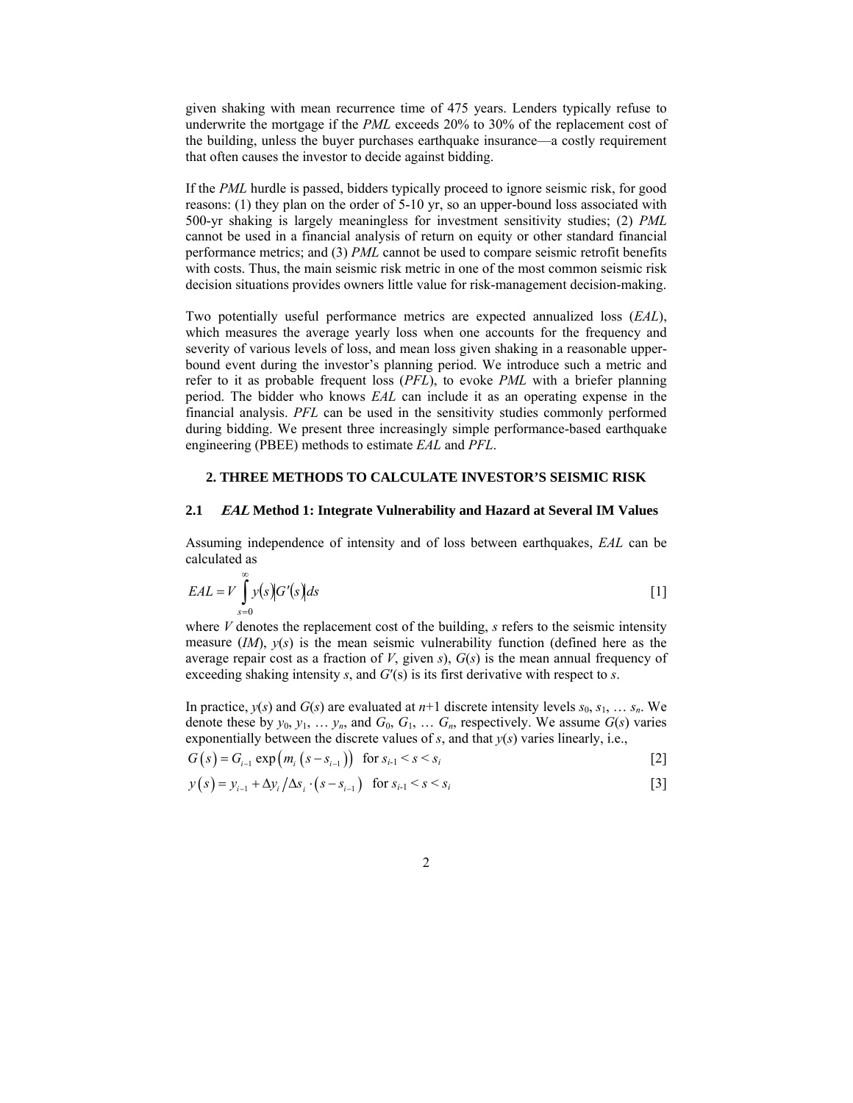given shaking with mean recurrence time of 475 years. Lenders typically refuse to underwrite the mortgage if the *PML* exceeds 20% to 30% of the replacement cost of the building, unless the buyer purchases earthquake insurance—a costly requirement that often causes the investor to decide against bidding.

If the *PML* hurdle is passed, bidders typically proceed to ignore seismic risk, for good reasons: (1) they plan on the order of 5-10 yr, so an upper-bound loss associated with 500-yr shaking is largely meaningless for investment sensitivity studies; (2) *PML* cannot be used in a financial analysis of return on equity or other standard financial performance metrics; and (3) *PML* cannot be used to compare seismic retrofit benefits with costs. Thus, the main seismic risk metric in one of the most common seismic risk decision situations provides owners little value for risk-management decision-making.

Two potentially useful performance metrics are expected annualized loss (*EAL*), which measures the average yearly loss when one accounts for the frequency and severity of various levels of loss, and mean loss given shaking in a reasonable upperbound event during the investor's planning period. We introduce such a metric and refer to it as probable frequent loss (*PFL*), to evoke *PML* with a briefer planning period. The bidder who knows *EAL* can include it as an operating expense in the financial analysis. *PFL* can be used in the sensitivity studies commonly performed during bidding. We present three increasingly simple performance-based earthquake engineering (PBEE) methods to estimate *EAL* and *PFL*.

#### **2. THREE METHODS TO CALCULATE INVESTOR'S SEISMIC RISK**

#### **2.1 EAL Method 1: Integrate Vulnerability and Hazard at Several IM Values**

Assuming independence of intensity and of loss between earthquakes, *EAL* can be calculated as

$$
EAL = V \int_{s=0}^{\infty} y(s) G'(s) ds
$$
 [1]

where *V* denotes the replacement cost of the building, *s* refers to the seismic intensity measure (*IM*), *y*(*s*) is the mean seismic vulnerability function (defined here as the average repair cost as a fraction of *V*, given *s*), *G*(*s*) is the mean annual frequency of exceeding shaking intensity *s*, and *G*′(s) is its first derivative with respect to *s*.

In practice,  $y(s)$  and  $G(s)$  are evaluated at  $n+1$  discrete intensity levels  $s_0, s_1, \ldots s_n$ . We denote these by  $y_0, y_1, \ldots, y_n$ , and  $G_0, G_1, \ldots, G_n$ , respectively. We assume  $G(s)$  varies exponentially between the discrete values of *s*, and that *y*(*s*) varies linearly, i.e.,

$$
G(s) = G_{i-1} \exp(m_i (s - s_{i-1})) \text{ for } s_{i-1} < s < s_i
$$
\n[2]

$$
y(s) = y_{i-1} + \Delta y_i / \Delta s_i \cdot (s - s_{i-1}) \quad \text{for } s_{i-1} < s < s_i \tag{3}
$$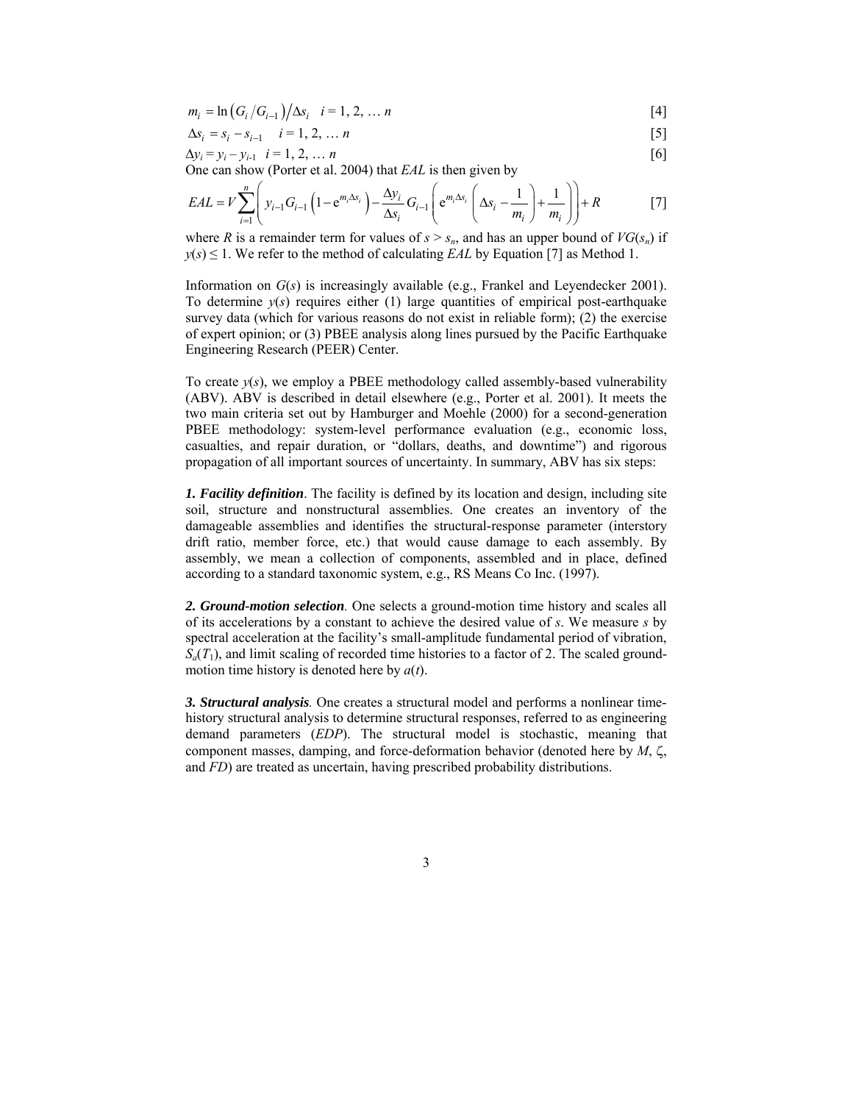$$
m_i = \ln(G_i/G_{i-1})/\Delta s_i \quad i = 1, 2, \dots n
$$
 [4]

$$
\Delta s_i = s_i - s_{i-1} \quad i = 1, 2, \dots n
$$
 [5]

$$
\Delta y_i = y_i - y_{i-1} \quad i = 1, 2, \dots n \tag{6}
$$

One can show (Porter et al. 2004) that *EAL* is then given by

$$
EAL = V \sum_{i=1}^{n} \left( y_{i-1} G_{i-1} \left( 1 - e^{m_i \Delta s_i} \right) - \frac{\Delta y_i}{\Delta s_i} G_{i-1} \left( e^{m_i \Delta s_i} \left( \Delta s_i - \frac{1}{m_i} \right) + \frac{1}{m_i} \right) \right) + R \tag{7}
$$

where *R* is a remainder term for values of  $s > s_n$ , and has an upper bound of  $VG(s_n)$  if  $y(s) \leq 1$ . We refer to the method of calculating *EAL* by Equation [7] as Method 1.

Information on *G*(*s*) is increasingly available (e.g., Frankel and Leyendecker 2001). To determine  $y(s)$  requires either (1) large quantities of empirical post-earthquake survey data (which for various reasons do not exist in reliable form); (2) the exercise of expert opinion; or (3) PBEE analysis along lines pursued by the Pacific Earthquake Engineering Research (PEER) Center.

To create  $y(s)$ , we employ a PBEE methodology called assembly-based vulnerability (ABV). ABV is described in detail elsewhere (e.g., Porter et al. 2001). It meets the two main criteria set out by Hamburger and Moehle (2000) for a second-generation PBEE methodology: system-level performance evaluation (e.g., economic loss, casualties, and repair duration, or "dollars, deaths, and downtime") and rigorous propagation of all important sources of uncertainty. In summary, ABV has six steps:

*1. Facility definition*. The facility is defined by its location and design, including site soil, structure and nonstructural assemblies. One creates an inventory of the damageable assemblies and identifies the structural-response parameter (interstory drift ratio, member force, etc.) that would cause damage to each assembly. By assembly, we mean a collection of components, assembled and in place, defined according to a standard taxonomic system, e.g., RS Means Co Inc. (1997).

*2. Ground-motion selection.* One selects a ground-motion time history and scales all of its accelerations by a constant to achieve the desired value of *s*. We measure *s* by spectral acceleration at the facility's small-amplitude fundamental period of vibration,  $S_a(T_1)$ , and limit scaling of recorded time histories to a factor of 2. The scaled groundmotion time history is denoted here by *a*(*t*).

*3. Structural analysis.* One creates a structural model and performs a nonlinear timehistory structural analysis to determine structural responses, referred to as engineering demand parameters (*EDP*). The structural model is stochastic, meaning that component masses, damping, and force-deformation behavior (denoted here by *M*, ζ, and *FD*) are treated as uncertain, having prescribed probability distributions.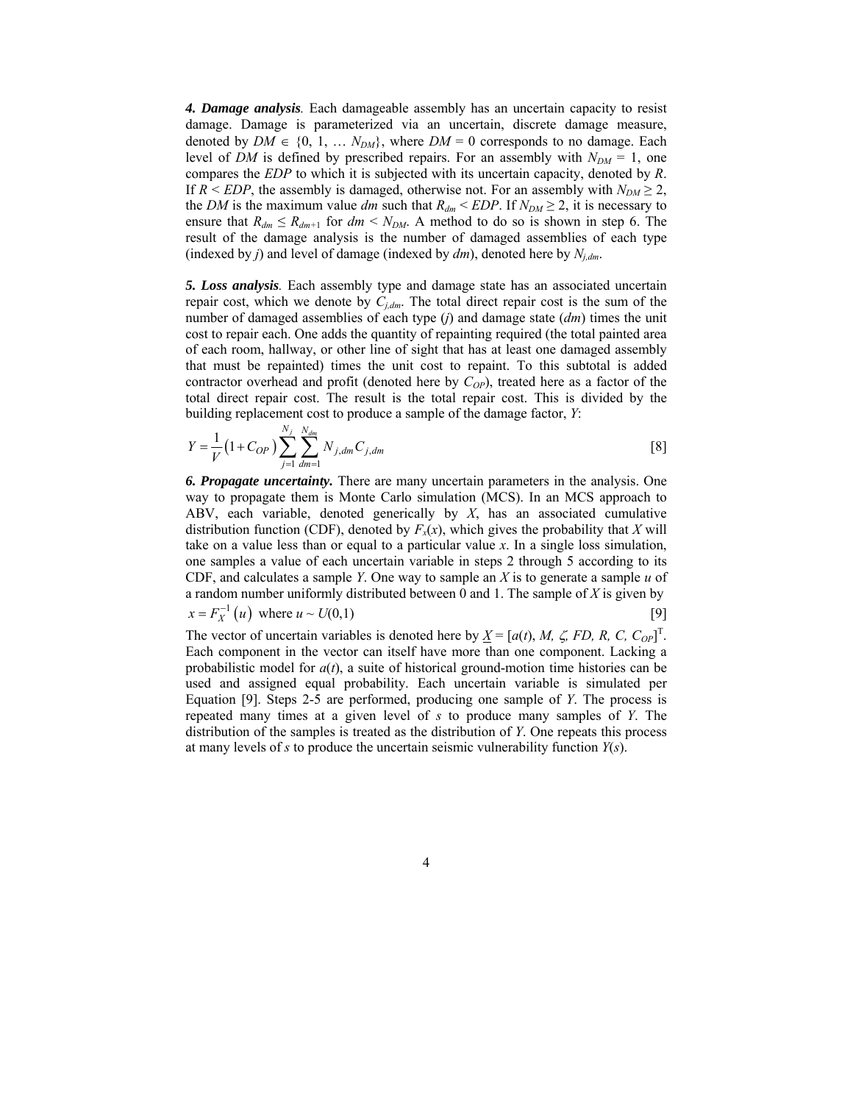*4. Damage analysis.* Each damageable assembly has an uncertain capacity to resist damage. Damage is parameterized via an uncertain, discrete damage measure, denoted by  $DM \in \{0, 1, \ldots N_{DM}\}$ , where  $DM = 0$  corresponds to no damage. Each level of *DM* is defined by prescribed repairs. For an assembly with  $N_{DM} = 1$ , one compares the *EDP* to which it is subjected with its uncertain capacity, denoted by *R*. If  $R \leq EDP$ , the assembly is damaged, otherwise not. For an assembly with  $N_{DM} \geq 2$ , the *DM* is the maximum value *dm* such that  $R_{dm}$  < *EDP*. If  $N_{DM} \ge 2$ , it is necessary to ensure that  $R_{dm} \le R_{dm+1}$  for  $dm \le N_{DM}$ . A method to do so is shown in step 6. The result of the damage analysis is the number of damaged assemblies of each type (indexed by *j*) and level of damage (indexed by *dm*), denoted here by *Nj,dm*.

*5. Loss analysis.* Each assembly type and damage state has an associated uncertain repair cost, which we denote by  $C_{i,dm}$ . The total direct repair cost is the sum of the number of damaged assemblies of each type (*j*) and damage state (*dm*) times the unit cost to repair each. One adds the quantity of repainting required (the total painted area of each room, hallway, or other line of sight that has at least one damaged assembly that must be repainted) times the unit cost to repaint. To this subtotal is added contractor overhead and profit (denoted here by  $C_{OP}$ ), treated here as a factor of the total direct repair cost. The result is the total repair cost. This is divided by the building replacement cost to produce a sample of the damage factor, *Y*:

$$
Y = \frac{1}{V} \left( 1 + C_{OP} \right) \sum_{j=1}^{N_j} \sum_{dm=1}^{N_{dm}} N_{j,dm} C_{j,dm}
$$
 [8]

*6. Propagate uncertainty.* There are many uncertain parameters in the analysis. One way to propagate them is Monte Carlo simulation (MCS). In an MCS approach to ABV, each variable, denoted generically by *X*, has an associated cumulative distribution function (CDF), denoted by  $F_x(x)$ , which gives the probability that *X* will take on a value less than or equal to a particular value *x*. In a single loss simulation, one samples a value of each uncertain variable in steps 2 through 5 according to its CDF, and calculates a sample *Y*. One way to sample an *X* is to generate a sample *u* of a random number uniformly distributed between 0 and 1. The sample of *X* is given by  $x = F_X^{-1}(u)$  where  $u \sim U(0,1)$  [9]

The vector of uncertain variables is denoted here by  $\underline{X} = [a(t), M, \zeta, FD, R, C, C_{OP}]^{T}$ . Each component in the vector can itself have more than one component. Lacking a probabilistic model for *a*(*t*), a suite of historical ground-motion time histories can be used and assigned equal probability. Each uncertain variable is simulated per Equation [9]. Steps 2-5 are performed, producing one sample of *Y*. The process is repeated many times at a given level of *s* to produce many samples of *Y*. The distribution of the samples is treated as the distribution of *Y*. One repeats this process at many levels of *s* to produce the uncertain seismic vulnerability function *Y*(*s*).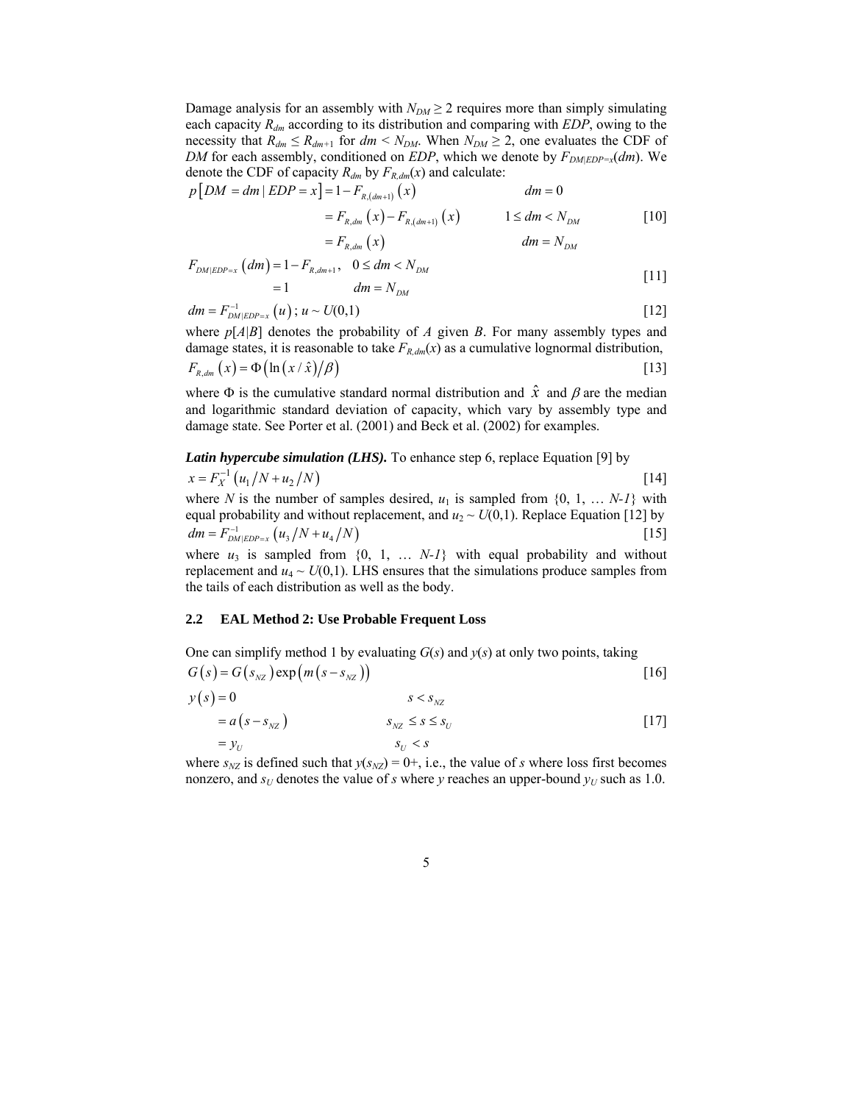Damage analysis for an assembly with  $N_{DM} \geq 2$  requires more than simply simulating each capacity *Rdm* according to its distribution and comparing with *EDP*, owing to the necessity that  $R_{dm} \le R_{dm+1}$  for  $dm \le N_{DM}$ . When  $N_{DM} \ge 2$ , one evaluates the CDF of *DM* for each assembly, conditioned on *EDP*, which we denote by  $F_{DMEDP=x}(dm)$ . We denote the CDF of capacity  $R_{dm}$  by  $F_{R,dm}(x)$  and calculate:

$$
p[DM = dm | EDP = x] = 1 - F_{R,(dm+1)}(x)
$$
  
\n
$$
= F_{R,dm}(x) - F_{R,(dm+1)}(x)
$$
  
\n
$$
= F_{R,dm}(x)
$$
  
\n
$$
= F_{R,dm}(x)
$$
  
\n
$$
dm = N_{DM}
$$
  
\n
$$
dm = N_{DM}
$$
  
\n
$$
[10]
$$
  
\n
$$
dm = N_{DM}
$$
  
\n
$$
[11]
$$

$$
= 1 \t dm = N_{DM}
$$
 [11]

$$
dm = F_{DM|EDP=x}^{-1}(u); u \sim U(0,1)
$$
 [12]

where *p*[*A|B*] denotes the probability of *A* given *B*. For many assembly types and damage states, it is reasonable to take  $F_{R,dm}(x)$  as a cumulative lognormal distribution,  $F_{R, dm}(x) = \Phi(\ln(x / \hat{x}) / \beta)$  [13]

where  $\Phi$  is the cumulative standard normal distribution and  $\hat{x}$  and  $\beta$  are the median and logarithmic standard deviation of capacity, which vary by assembly type and damage state. See Porter et al. (2001) and Beck et al. (2002) for examples.

**Latin hypercube simulation (LHS).** To enhance step 6, replace Equation [9] by 
$$
x = F_X^{-1}(u_1/N + u_2/N)
$$
 [14]

where *N* is the number of samples desired,  $u_1$  is sampled from  $\{0, 1, \ldots N-1\}$  with equal probability and without replacement, and  $u_2 \sim U(0,1)$ . Replace Equation [12] by  $dm = F_{DM|EDP=x}^{-1} (u_3/N + u_4/N)$  [15]

where  $u_3$  is sampled from  $\{0, 1, \ldots N-1\}$  with equal probability and without replacement and  $u_4 \sim U(0,1)$ . LHS ensures that the simulations produce samples from the tails of each distribution as well as the body.

#### **2.2 EAL Method 2: Use Probable Frequent Loss**

One can simplify method 1 by evaluating 
$$
G(s)
$$
 and  $y(s)$  at only two points, taking  
\n
$$
G(s) = G(s_{NZ}) \exp(m(s - s_{NZ}))
$$
\n[16]  
\n
$$
y(s) = 0
$$
\n
$$
= a(s - s_{NZ})
$$
\n
$$
s_{NZ} \le s \le s_U
$$
\n[17]  
\n
$$
= y_U
$$

where  $s_{NZ}$  is defined such that  $y(s_{NZ}) = 0+$ , i.e., the value of *s* where loss first becomes nonzero, and  $s_U$  denotes the value of *s* where *y* reaches an upper-bound  $y_U$  such as 1.0.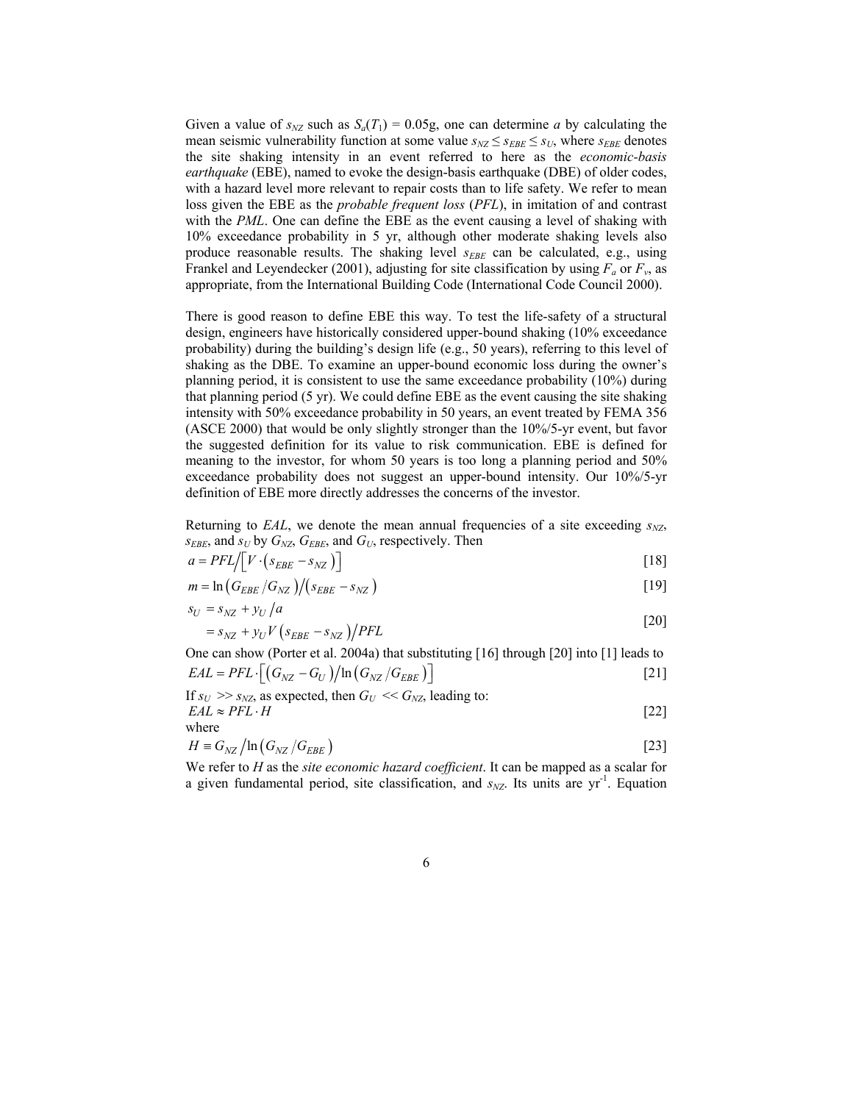Given a value of  $s_{NZ}$  such as  $S_a(T_1) = 0.05g$ , one can determine *a* by calculating the mean seismic vulnerability function at some value  $s_{NZ} \leq s_{EBE} \leq s_U$ , where  $s_{EBE}$  denotes the site shaking intensity in an event referred to here as the *economic-basis earthquake* (EBE), named to evoke the design-basis earthquake (DBE) of older codes, with a hazard level more relevant to repair costs than to life safety. We refer to mean loss given the EBE as the *probable frequent loss* (*PFL*), in imitation of and contrast with the *PML*. One can define the EBE as the event causing a level of shaking with 10% exceedance probability in 5 yr, although other moderate shaking levels also produce reasonable results. The shaking level  $s_{EBE}$  can be calculated, e.g., using Frankel and Leyendecker (2001), adjusting for site classification by using  $F_a$  or  $F_v$ , as appropriate, from the International Building Code (International Code Council 2000).

There is good reason to define EBE this way. To test the life-safety of a structural design, engineers have historically considered upper-bound shaking (10% exceedance probability) during the building's design life (e.g., 50 years), referring to this level of shaking as the DBE. To examine an upper-bound economic loss during the owner's planning period, it is consistent to use the same exceedance probability (10%) during that planning period (5 yr). We could define EBE as the event causing the site shaking intensity with 50% exceedance probability in 50 years, an event treated by FEMA 356 (ASCE 2000) that would be only slightly stronger than the 10%/5-yr event, but favor the suggested definition for its value to risk communication. EBE is defined for meaning to the investor, for whom 50 years is too long a planning period and 50% exceedance probability does not suggest an upper-bound intensity. Our 10%/5-yr definition of EBE more directly addresses the concerns of the investor.

Returning to  $EAL$ , we denote the mean annual frequencies of a site exceeding  $s_{NZ}$ ,  $s_{EBE}$ , and  $s_U$  by  $G_{NZ}$ ,  $G_{EBE}$ , and  $G_U$ , respectively. Then

$$
a = PFL / \left[ V \cdot \left( s_{EBE} - s_{NZ} \right) \right] \tag{18}
$$

$$
m = \ln\left(G_{EBE}/G_{NZ}\right) / \left(s_{EBE} - s_{NZ}\right) \tag{19}
$$

$$
s_U = s_{NZ} + y_U / a \tag{20}
$$

$$
=s_{NZ} + y_U V \left( s_{EBE} - s_{NZ} \right) / PFL
$$

One can show (Porter et al. 2004a) that substituting [16] through [20] into [1] leads to  $EAL = PFL \cdot [(G_{NZ} - G_U)/\ln(G_{NZ}/G_{EBE})]$  [21]

If 
$$
s_U \gg s_{NZ}
$$
, as expected, then  $G_U \ll G_{NZ}$ , leading to:  
\n $EAL \approx PFL \cdot H$  [22]

where

$$
H \equiv G_{NZ} / \ln \left( G_{NZ} / G_{EBE} \right) \tag{23}
$$

We refer to *H* as the *site economic hazard coefficient*. It can be mapped as a scalar for a given fundamental period, site classification, and  $s_{NZ}$ . Its units are  $yr^{-1}$ . Equation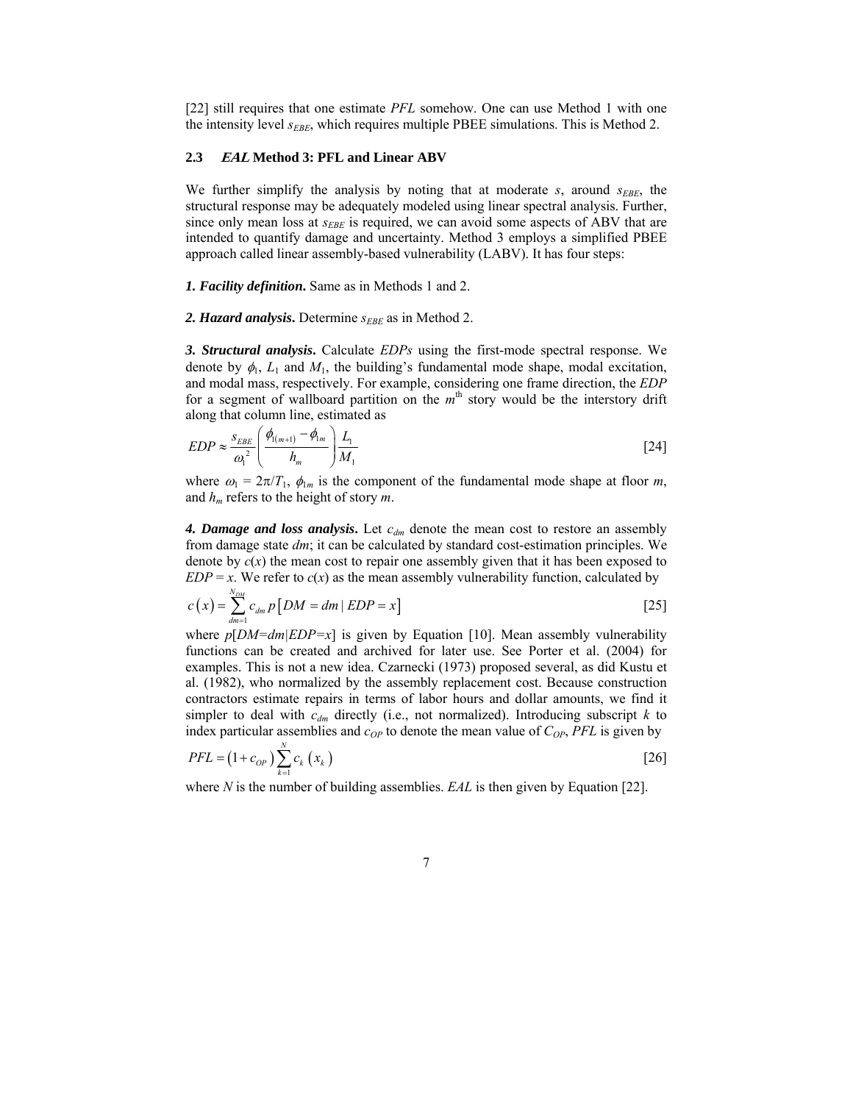[22] still requires that one estimate *PFL* somehow. One can use Method 1 with one the intensity level *s<sub>EBE*</sub>, which requires multiple PBEE simulations. This is Method 2.

## **2.3 EAL Method 3: PFL and Linear ABV**

We further simplify the analysis by noting that at moderate *s*, around  $s_{EBE}$ , the structural response may be adequately modeled using linear spectral analysis. Further, since only mean loss at  $s_{EBE}$  is required, we can avoid some aspects of ABV that are intended to quantify damage and uncertainty. Method 3 employs a simplified PBEE approach called linear assembly-based vulnerability (LABV). It has four steps:

*1. Facility definition***.** Same as in Methods 1 and 2.

2. *Hazard analysis*. Determine *s<sub>EBE</sub>* as in Method 2.

*3. Structural analysis***.** Calculate *EDPs* using the first-mode spectral response. We denote by  $\phi_1$ ,  $L_1$  and  $M_1$ , the building's fundamental mode shape, modal excitation, and modal mass, respectively. For example, considering one frame direction, the *EDP* for a segment of wallboard partition on the  $m<sup>th</sup>$  story would be the interstory drift along that column line, estimated as

$$
EDP \approx \frac{s_{EBE}}{\omega_1^2} \left( \frac{\phi_{(m+1)} - \phi_{1m}}{h_m} \right) \frac{L_1}{M_1}
$$
 [24]

where  $\omega_1 = 2\pi/T_1$ ,  $\phi_{1m}$  is the component of the fundamental mode shape at floor *m*, and *hm* refers to the height of story *m*.

4. Damage and loss analysis. Let  $c_{dm}$  denote the mean cost to restore an assembly from damage state *dm*; it can be calculated by standard cost-estimation principles. We denote by  $c(x)$  the mean cost to repair one assembly given that it has been exposed to  $EDP = x$ . We refer to  $c(x)$  as the mean assembly vulnerability function, calculated by

$$
c(x) = \sum_{dm=1}^{N_{DM}} c_{dm} p\big[DM = dm \mid EDP = x\big]
$$
 [25]

where *p*[*DM=dm|EDP=x*] is given by Equation [10]. Mean assembly vulnerability functions can be created and archived for later use. See Porter et al. (2004) for examples. This is not a new idea. Czarnecki (1973) proposed several, as did Kustu et al. (1982), who normalized by the assembly replacement cost. Because construction contractors estimate repairs in terms of labor hours and dollar amounts, we find it simpler to deal with  $c_{dm}$  directly (i.e., not normalized). Introducing subscript  $k$  to index particular assemblies and  $c_{OP}$  to denote the mean value of  $C_{OP}$ , *PFL* is given by

$$
PFL = (1 + c_{OP}) \sum_{k=1}^{N} c_k (x_k)
$$
 [26]

where *N* is the number of building assemblies. *EAL* is then given by Equation [22].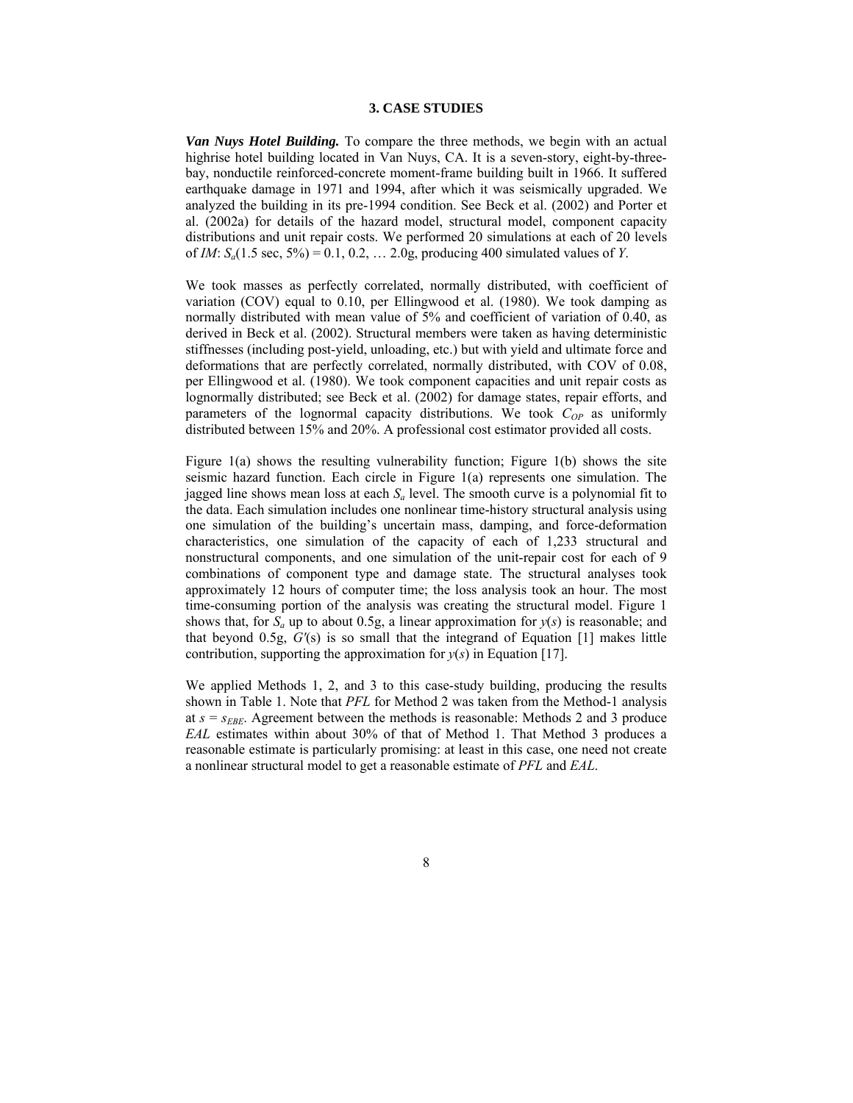#### **3. CASE STUDIES**

*Van Nuys Hotel Building.* To compare the three methods, we begin with an actual highrise hotel building located in Van Nuys, CA. It is a seven-story, eight-by-threebay, nonductile reinforced-concrete moment-frame building built in 1966. It suffered earthquake damage in 1971 and 1994, after which it was seismically upgraded. We analyzed the building in its pre-1994 condition. See Beck et al. (2002) and Porter et al. (2002a) for details of the hazard model, structural model, component capacity distributions and unit repair costs. We performed 20 simulations at each of 20 levels of *IM*: *Sa*(1.5 sec, 5%) = 0.1, 0.2, … 2.0g, producing 400 simulated values of *Y*.

We took masses as perfectly correlated, normally distributed, with coefficient of variation (COV) equal to 0.10, per Ellingwood et al. (1980). We took damping as normally distributed with mean value of 5% and coefficient of variation of 0.40, as derived in Beck et al. (2002). Structural members were taken as having deterministic stiffnesses (including post-yield, unloading, etc.) but with yield and ultimate force and deformations that are perfectly correlated, normally distributed, with COV of 0.08, per Ellingwood et al. (1980). We took component capacities and unit repair costs as lognormally distributed; see Beck et al. (2002) for damage states, repair efforts, and parameters of the lognormal capacity distributions. We took  $C_{OP}$  as uniformly distributed between 15% and 20%. A professional cost estimator provided all costs.

Figure 1(a) shows the resulting vulnerability function; Figure 1(b) shows the site seismic hazard function. Each circle in Figure 1(a) represents one simulation. The jagged line shows mean loss at each *Sa* level. The smooth curve is a polynomial fit to the data. Each simulation includes one nonlinear time-history structural analysis using one simulation of the building's uncertain mass, damping, and force-deformation characteristics, one simulation of the capacity of each of 1,233 structural and nonstructural components, and one simulation of the unit-repair cost for each of 9 combinations of component type and damage state. The structural analyses took approximately 12 hours of computer time; the loss analysis took an hour. The most time-consuming portion of the analysis was creating the structural model. Figure 1 shows that, for  $S_a$  up to about 0.5g, a linear approximation for  $y(s)$  is reasonable; and that beyond 0.5g, *G′*(s) is so small that the integrand of Equation [1] makes little contribution, supporting the approximation for  $y(s)$  in Equation [17].

We applied Methods 1, 2, and 3 to this case-study building, producing the results shown in Table 1. Note that *PFL* for Method 2 was taken from the Method-1 analysis at  $s = s_{EBE}$ . Agreement between the methods is reasonable: Methods 2 and 3 produce *EAL* estimates within about 30% of that of Method 1. That Method 3 produces a reasonable estimate is particularly promising: at least in this case, one need not create a nonlinear structural model to get a reasonable estimate of *PFL* and *EAL*.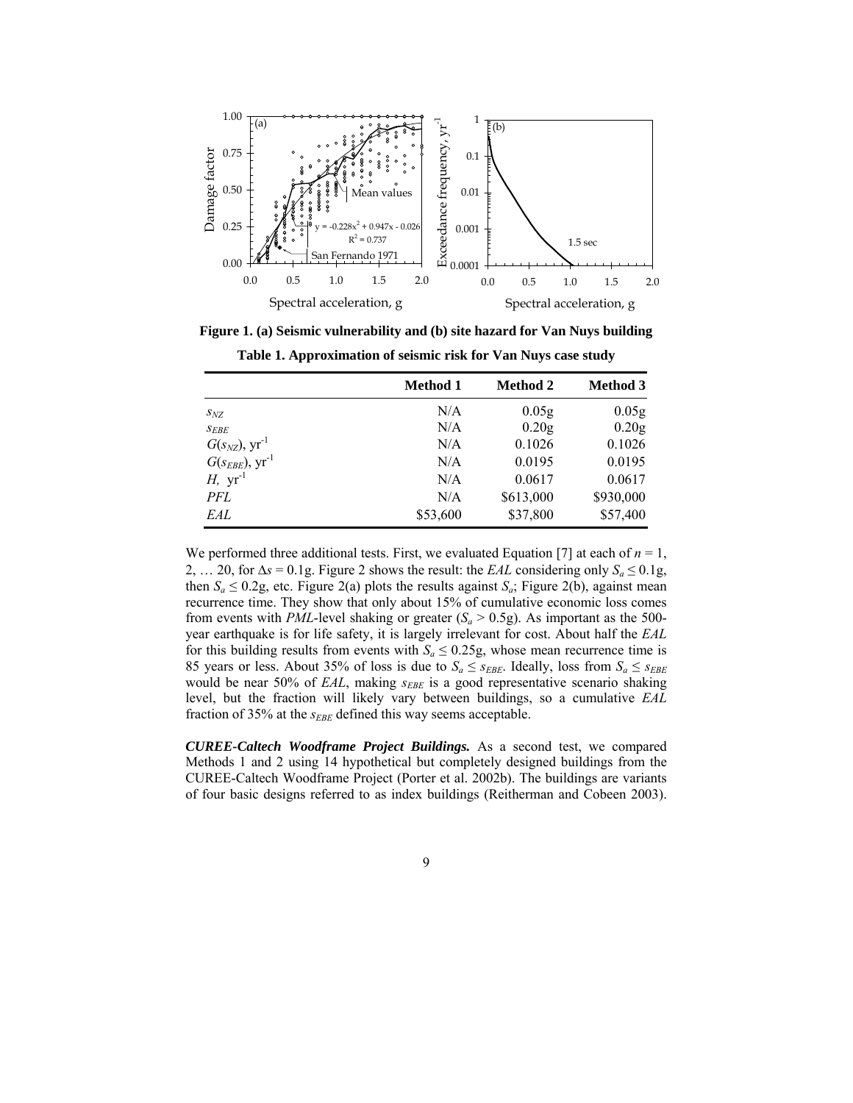

**Figure 1. (a) Seismic vulnerability and (b) site hazard for Van Nuys building Table 1. Approximation of seismic risk for Van Nuys case study** 

|                                 | <b>Method 1</b> | <b>Method 2</b>   | <b>Method 3</b>   |
|---------------------------------|-----------------|-------------------|-------------------|
| $S_{NZ}$                        | N/A             | 0.05 <sub>g</sub> | 0.05 <sub>g</sub> |
| $S_{EBE}$                       | N/A             | 0.20 <sub>g</sub> | 0.20 <sub>g</sub> |
| $G(s_{NZ})$ , $yr^{-1}$         | N/A             | 0.1026            | 0.1026            |
| $G(s_{EBE}), \, \text{yr}^{-1}$ | N/A             | 0.0195            | 0.0195            |
| $H$ , $yr^{-1}$                 | N/A             | 0.0617            | 0.0617            |
| PFL                             | N/A             | \$613,000         | \$930,000         |
| EAL                             | \$53,600        | \$37,800          | \$57,400          |

We performed three additional tests. First, we evaluated Equation [7] at each of  $n = 1$ , 2, ... 20, for  $\Delta s = 0.1$ g. Figure 2 shows the result: the *EAL* considering only  $S_a \le 0.1$ g. then  $S_a \leq 0.2$ g, etc. Figure 2(a) plots the results against  $S_a$ ; Figure 2(b), against mean recurrence time. They show that only about 15% of cumulative economic loss comes from events with *PML*-level shaking or greater  $(S_a > 0.5g)$ . As important as the 500year earthquake is for life safety, it is largely irrelevant for cost. About half the *EAL* for this building results from events with  $S_a \leq 0.25$ g, whose mean recurrence time is 85 years or less. About 35% of loss is due to  $S_a \leq s_{EBE}$ . Ideally, loss from  $S_a \leq s_{EBE}$ would be near 50% of *EAL*, making *s<sub>EBE</sub>* is a good representative scenario shaking level, but the fraction will likely vary between buildings, so a cumulative *EAL*  fraction of 35% at the  $s_{EBE}$  defined this way seems acceptable.

*CUREE-Caltech Woodframe Project Buildings.* As a second test, we compared Methods 1 and 2 using 14 hypothetical but completely designed buildings from the CUREE-Caltech Woodframe Project (Porter et al. 2002b). The buildings are variants of four basic designs referred to as index buildings (Reitherman and Cobeen 2003).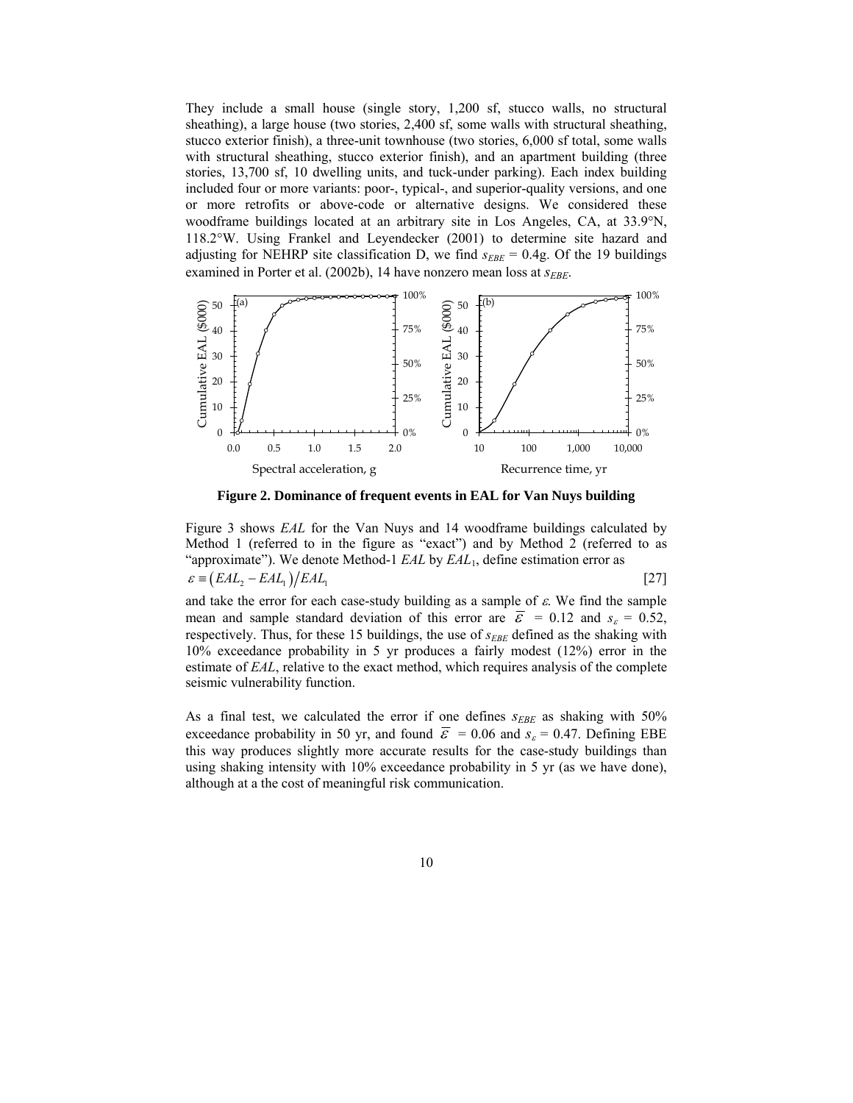They include a small house (single story, 1,200 sf, stucco walls, no structural sheathing), a large house (two stories, 2,400 sf, some walls with structural sheathing, stucco exterior finish), a three-unit townhouse (two stories, 6,000 sf total, some walls with structural sheathing, stucco exterior finish), and an apartment building (three stories, 13,700 sf, 10 dwelling units, and tuck-under parking). Each index building included four or more variants: poor-, typical-, and superior-quality versions, and one or more retrofits or above-code or alternative designs. We considered these woodframe buildings located at an arbitrary site in Los Angeles, CA, at 33.9°N, 118.2°W. Using Frankel and Leyendecker (2001) to determine site hazard and adjusting for NEHRP site classification D, we find  $s_{EBE} = 0.4g$ . Of the 19 buildings examined in Porter et al. (2002b), 14 have nonzero mean loss at *S<sub>EBE</sub>*.



**Figure 2. Dominance of frequent events in EAL for Van Nuys building** 

Figure 3 shows *EAL* for the Van Nuys and 14 woodframe buildings calculated by Method 1 (referred to in the figure as "exact") and by Method 2 (referred to as "approximate"). We denote Method-1 *EAL* by *EAL*1, define estimation error as  $\varepsilon = (EAL, -EAL) / EAL$ <sub>1</sub> [27]

and take the error for each case-study building as a sample of  $\varepsilon$ . We find the sample mean and sample standard deviation of this error are  $\overline{\varepsilon}$  = 0.12 and  $s_{\varepsilon}$  = 0.52, respectively. Thus, for these 15 buildings, the use of  $s_{EBE}$  defined as the shaking with 10% exceedance probability in 5 yr produces a fairly modest (12%) error in the estimate of *EAL*, relative to the exact method, which requires analysis of the complete seismic vulnerability function.

As a final test, we calculated the error if one defines  $s_{EBE}$  as shaking with 50% exceedance probability in 50 yr, and found  $\bar{\varepsilon}$  = 0.06 and  $s_{\varepsilon}$  = 0.47. Defining EBE this way produces slightly more accurate results for the case-study buildings than using shaking intensity with 10% exceedance probability in 5 yr (as we have done), although at a the cost of meaningful risk communication.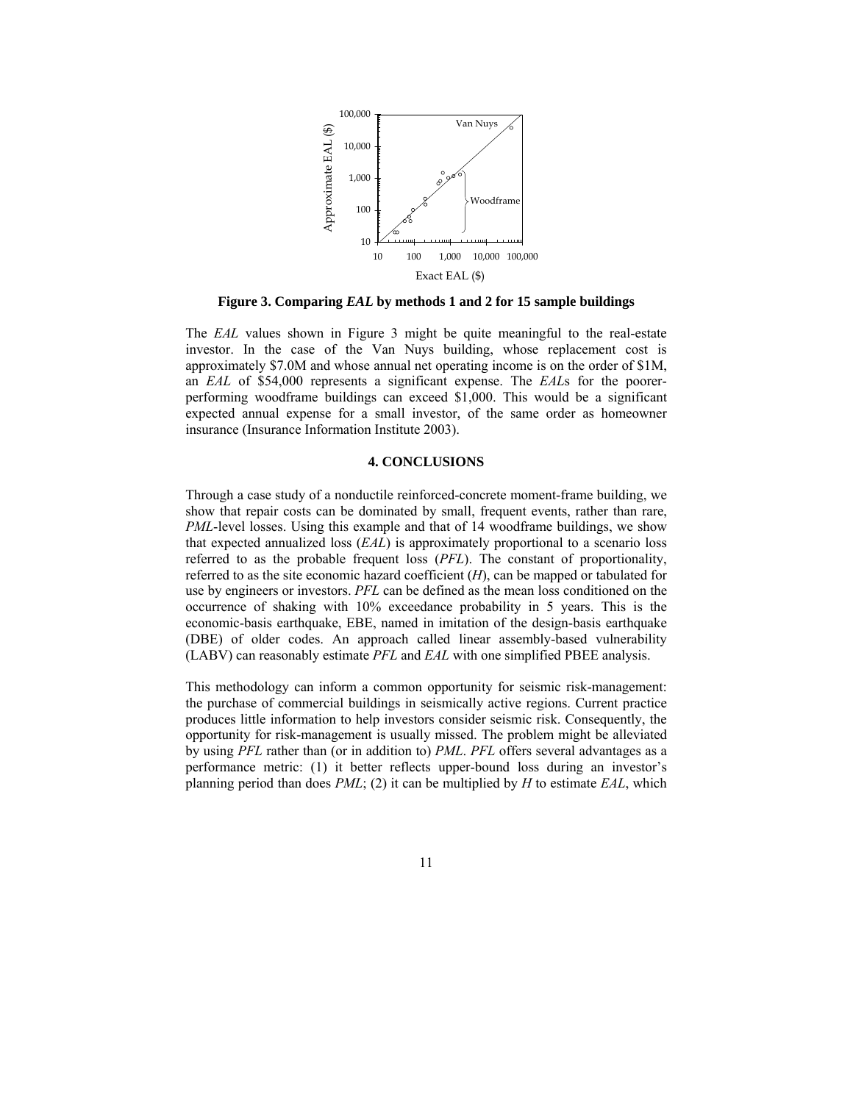

**Figure 3. Comparing** *EAL* **by methods 1 and 2 for 15 sample buildings** 

The *EAL* values shown in Figure 3 might be quite meaningful to the real-estate investor. In the case of the Van Nuys building, whose replacement cost is approximately \$7.0M and whose annual net operating income is on the order of \$1M, an *EAL* of \$54,000 represents a significant expense. The *EAL*s for the poorerperforming woodframe buildings can exceed \$1,000. This would be a significant expected annual expense for a small investor, of the same order as homeowner insurance (Insurance Information Institute 2003).

### **4. CONCLUSIONS**

Through a case study of a nonductile reinforced-concrete moment-frame building, we show that repair costs can be dominated by small, frequent events, rather than rare, *PML*-level losses. Using this example and that of 14 woodframe buildings, we show that expected annualized loss (*EAL*) is approximately proportional to a scenario loss referred to as the probable frequent loss (*PFL*). The constant of proportionality, referred to as the site economic hazard coefficient (*H*), can be mapped or tabulated for use by engineers or investors. *PFL* can be defined as the mean loss conditioned on the occurrence of shaking with 10% exceedance probability in 5 years. This is the economic-basis earthquake, EBE, named in imitation of the design-basis earthquake (DBE) of older codes. An approach called linear assembly-based vulnerability (LABV) can reasonably estimate *PFL* and *EAL* with one simplified PBEE analysis.

This methodology can inform a common opportunity for seismic risk-management: the purchase of commercial buildings in seismically active regions. Current practice produces little information to help investors consider seismic risk. Consequently, the opportunity for risk-management is usually missed. The problem might be alleviated by using *PFL* rather than (or in addition to) *PML*. *PFL* offers several advantages as a performance metric: (1) it better reflects upper-bound loss during an investor's planning period than does *PML*; (2) it can be multiplied by *H* to estimate *EAL*, which